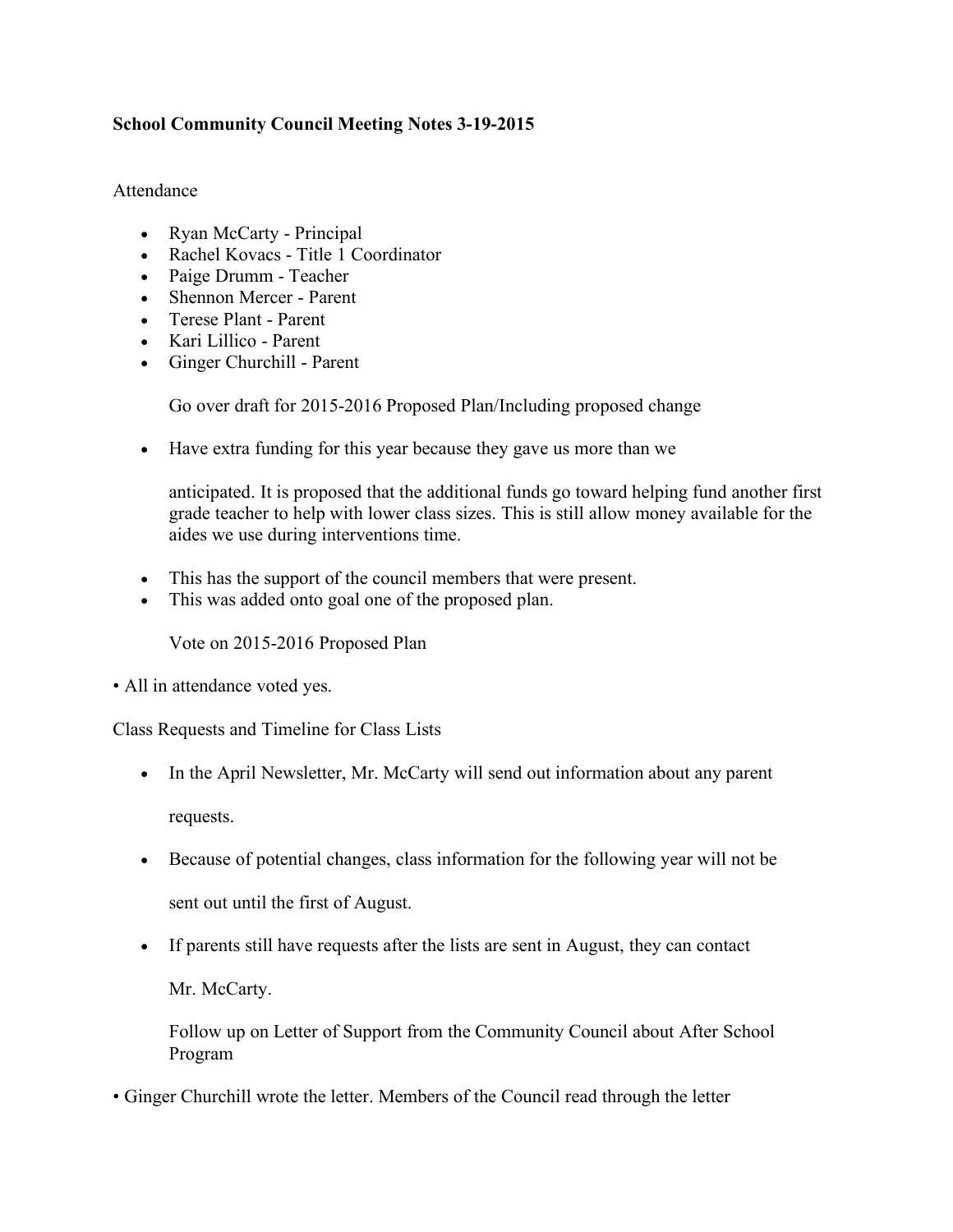## **School Community Council Meeting Notes 3-19-2015**

## Attendance

- Ryan McCarty Principal
- Rachel Kovacs Title 1 Coordinator
- Paige Drumm Teacher
- Shennon Mercer Parent
- Terese Plant Parent
- Kari Lillico Parent
- Ginger Churchill Parent

Go over draft for 2015-2016 Proposed Plan/Including proposed change

• Have extra funding for this year because they gave us more than we

anticipated. It is proposed that the additional funds go toward helping fund another first grade teacher to help with lower class sizes. This is still allow money available for the aides we use during interventions time.

- This has the support of the council members that were present.
- This was added onto goal one of the proposed plan.

Vote on 2015-2016 Proposed Plan

• All in attendance voted yes.

Class Requests and Timeline for Class Lists

- In the April Newsletter, Mr. McCarty will send out information about any parent requests.
- Because of potential changes, class information for the following year will not be sent out until the first of August.
- If parents still have requests after the lists are sent in August, they can contact

Mr. McCarty.

Follow up on Letter of Support from the Community Council about After School Program

• Ginger Churchill wrote the letter. Members of the Council read through the letter